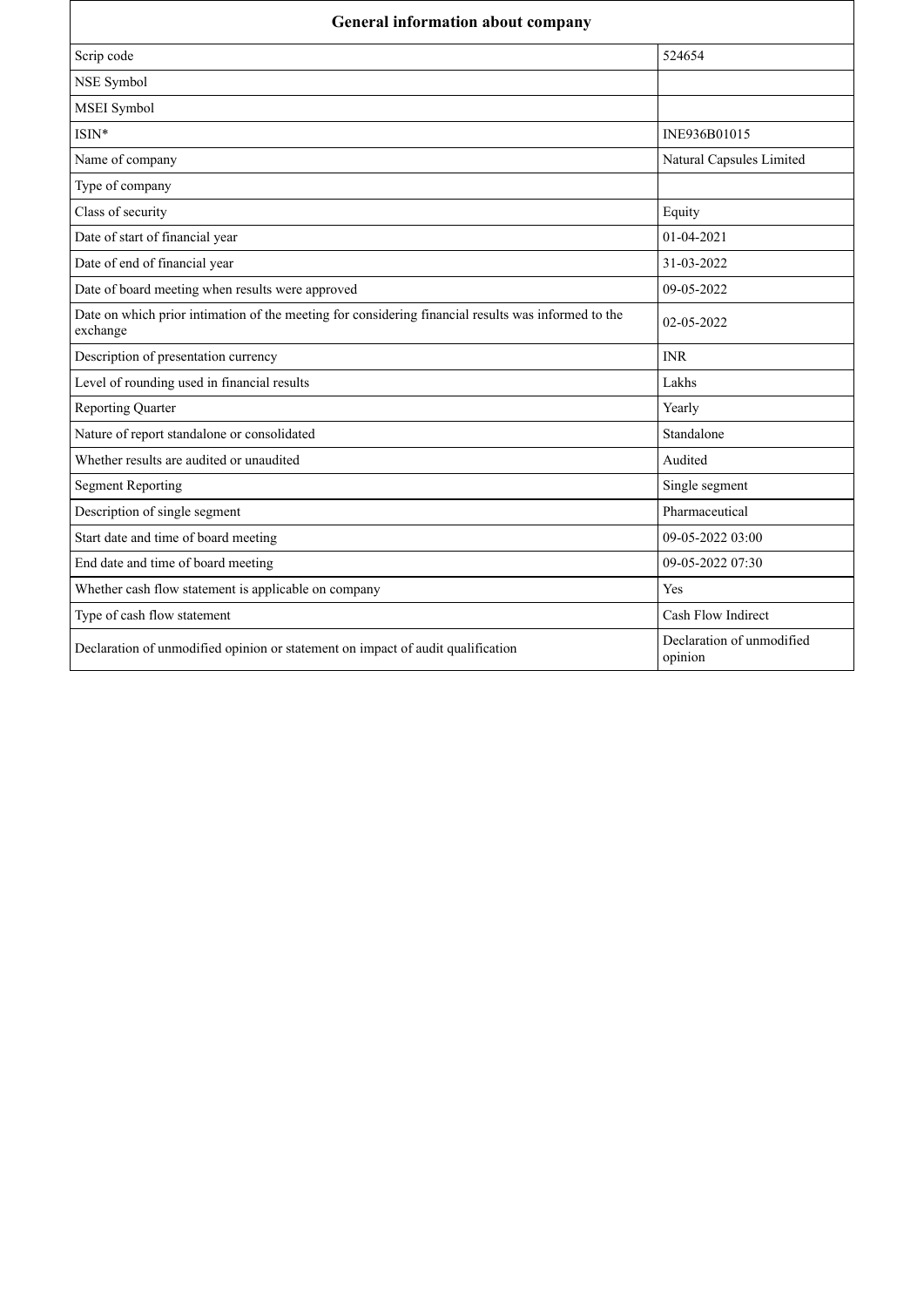| <b>General information about company</b>                                                                        |                                      |
|-----------------------------------------------------------------------------------------------------------------|--------------------------------------|
| Scrip code                                                                                                      | 524654                               |
| NSE Symbol                                                                                                      |                                      |
| MSEI Symbol                                                                                                     |                                      |
| $ISIN*$                                                                                                         | INE936B01015                         |
| Name of company                                                                                                 | Natural Capsules Limited             |
| Type of company                                                                                                 |                                      |
| Class of security                                                                                               | Equity                               |
| Date of start of financial year                                                                                 | 01-04-2021                           |
| Date of end of financial year                                                                                   | 31-03-2022                           |
| Date of board meeting when results were approved                                                                | 09-05-2022                           |
| Date on which prior intimation of the meeting for considering financial results was informed to the<br>exchange | 02-05-2022                           |
| Description of presentation currency                                                                            | <b>INR</b>                           |
| Level of rounding used in financial results                                                                     | Lakhs                                |
| <b>Reporting Quarter</b>                                                                                        | Yearly                               |
| Nature of report standalone or consolidated                                                                     | Standalone                           |
| Whether results are audited or unaudited                                                                        | Audited                              |
| <b>Segment Reporting</b>                                                                                        | Single segment                       |
| Description of single segment                                                                                   | Pharmaceutical                       |
| Start date and time of board meeting                                                                            | 09-05-2022 03:00                     |
| End date and time of board meeting                                                                              | 09-05-2022 07:30                     |
| Whether cash flow statement is applicable on company                                                            | Yes                                  |
| Type of cash flow statement                                                                                     | Cash Flow Indirect                   |
| Declaration of unmodified opinion or statement on impact of audit qualification                                 | Declaration of unmodified<br>opinion |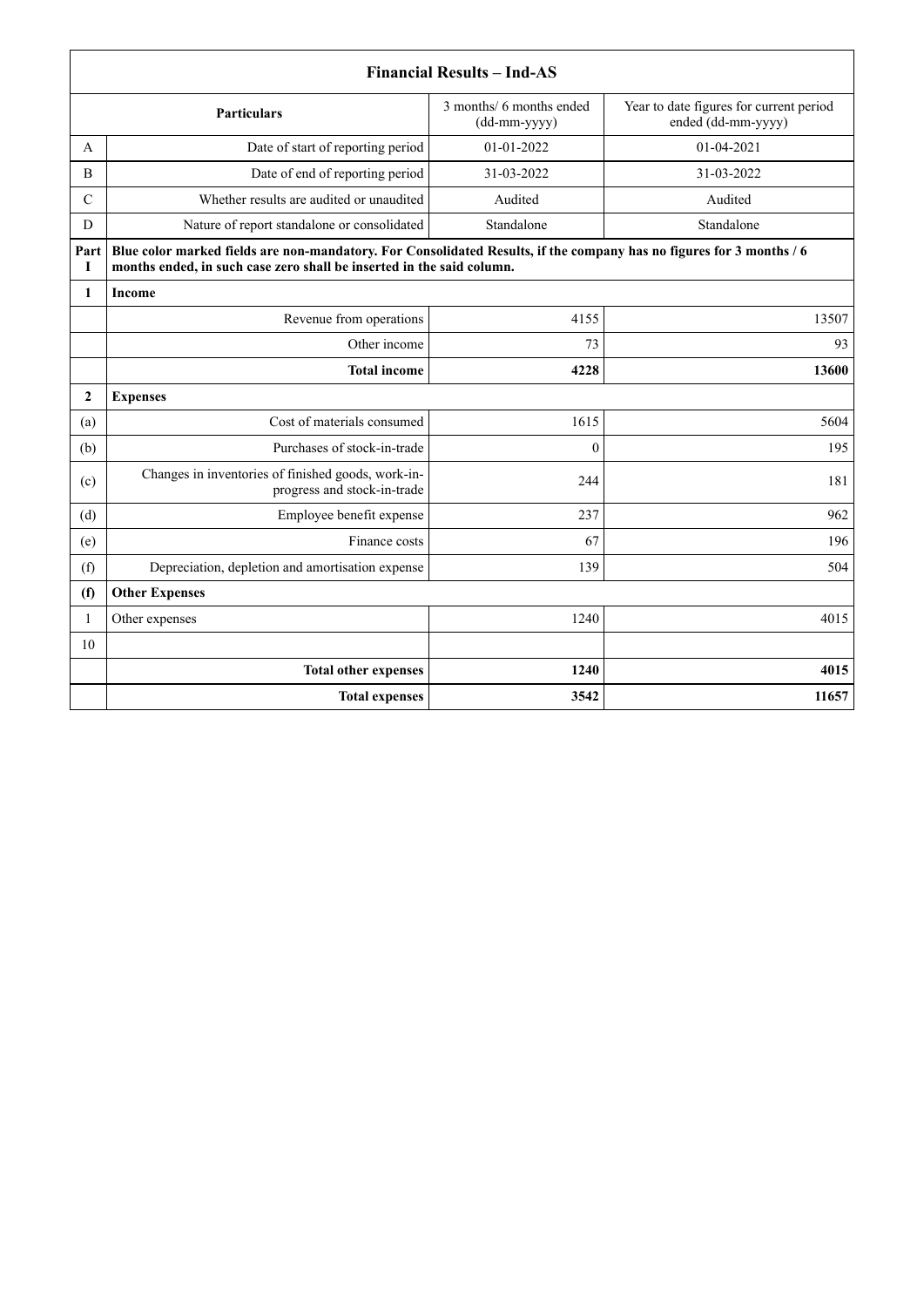|                | <b>Financial Results - Ind-AS</b>                                                                                                                                                             |                                          |                                                               |  |
|----------------|-----------------------------------------------------------------------------------------------------------------------------------------------------------------------------------------------|------------------------------------------|---------------------------------------------------------------|--|
|                | <b>Particulars</b>                                                                                                                                                                            | 3 months/ 6 months ended<br>(dd-mm-yyyy) | Year to date figures for current period<br>ended (dd-mm-yyyy) |  |
| A              | Date of start of reporting period                                                                                                                                                             | $01-01-2022$                             | $01 - 04 - 2021$                                              |  |
| B              | Date of end of reporting period                                                                                                                                                               | 31-03-2022                               | 31-03-2022                                                    |  |
| $\mathcal{C}$  | Whether results are audited or unaudited                                                                                                                                                      | Audited                                  | Audited                                                       |  |
| D              | Nature of report standalone or consolidated                                                                                                                                                   | Standalone                               | Standalone                                                    |  |
| Part<br>L      | Blue color marked fields are non-mandatory. For Consolidated Results, if the company has no figures for 3 months / 6<br>months ended, in such case zero shall be inserted in the said column. |                                          |                                                               |  |
| 1              | Income                                                                                                                                                                                        |                                          |                                                               |  |
|                | Revenue from operations                                                                                                                                                                       | 4155                                     | 13507                                                         |  |
|                | Other income                                                                                                                                                                                  | 73                                       | 93                                                            |  |
|                | <b>Total income</b>                                                                                                                                                                           | 4228                                     | 13600                                                         |  |
| $\overline{2}$ | <b>Expenses</b>                                                                                                                                                                               |                                          |                                                               |  |
| (a)            | Cost of materials consumed                                                                                                                                                                    | 1615                                     | 5604                                                          |  |
| (b)            | Purchases of stock-in-trade                                                                                                                                                                   | $\theta$                                 | 195                                                           |  |
| (c)            | Changes in inventories of finished goods, work-in-<br>progress and stock-in-trade                                                                                                             | 244                                      | 181                                                           |  |
| (d)            | Employee benefit expense                                                                                                                                                                      | 237                                      | 962                                                           |  |
| (e)            | Finance costs                                                                                                                                                                                 | 67                                       | 196                                                           |  |
| (f)            | Depreciation, depletion and amortisation expense                                                                                                                                              | 139                                      | 504                                                           |  |
| (f)            | <b>Other Expenses</b>                                                                                                                                                                         |                                          |                                                               |  |
| 1              | Other expenses                                                                                                                                                                                | 1240                                     | 4015                                                          |  |
| 10             |                                                                                                                                                                                               |                                          |                                                               |  |
|                | <b>Total other expenses</b>                                                                                                                                                                   | 1240                                     | 4015                                                          |  |
|                | <b>Total expenses</b>                                                                                                                                                                         | 3542                                     | 11657                                                         |  |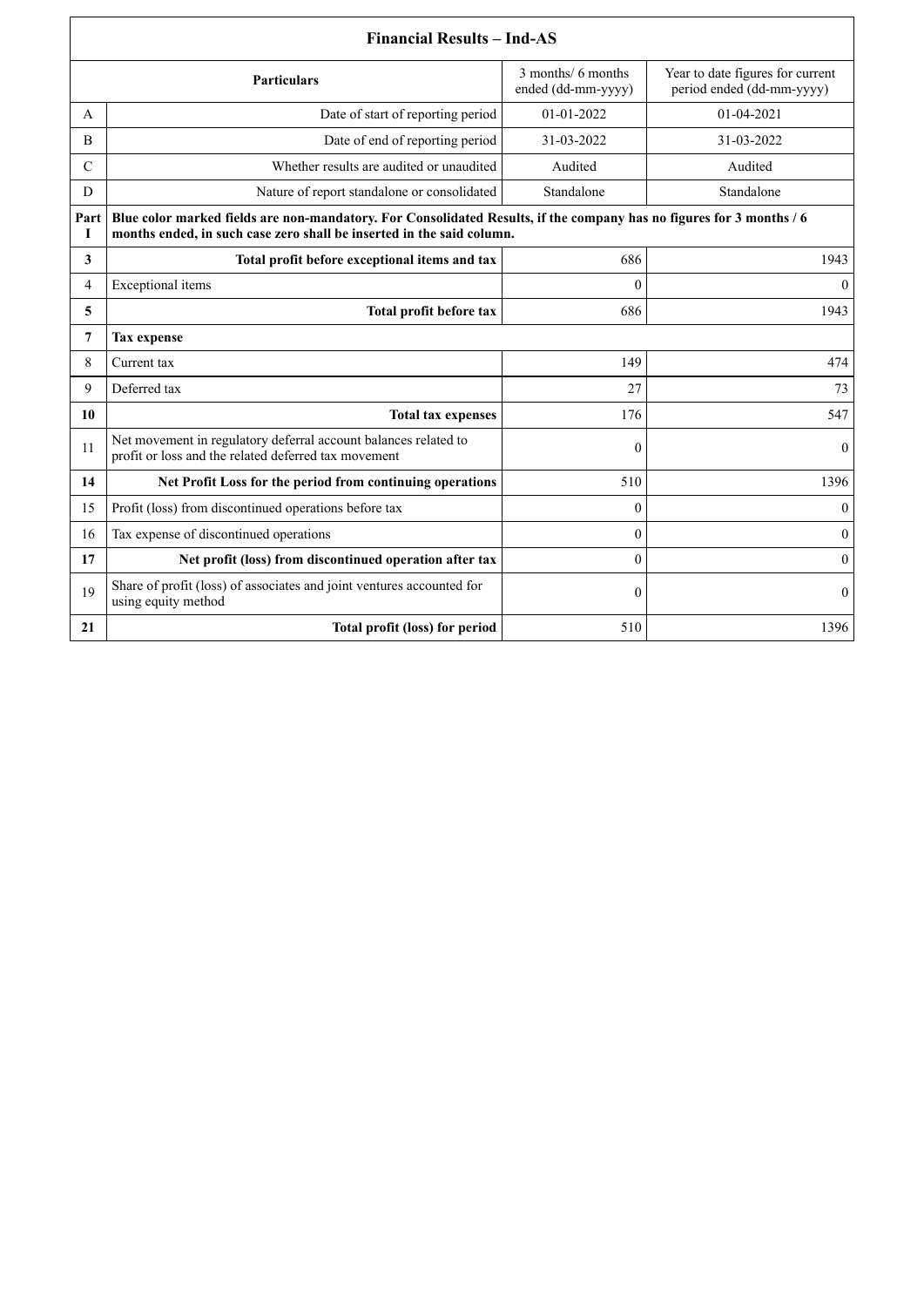|                | <b>Financial Results - Ind-AS</b>                                                                                                                                                             |                                          |                                                               |  |
|----------------|-----------------------------------------------------------------------------------------------------------------------------------------------------------------------------------------------|------------------------------------------|---------------------------------------------------------------|--|
|                | Particulars                                                                                                                                                                                   | 3 months/ 6 months<br>ended (dd-mm-yyyy) | Year to date figures for current<br>period ended (dd-mm-yyyy) |  |
| A              | Date of start of reporting period                                                                                                                                                             | 01-01-2022                               | 01-04-2021                                                    |  |
| B              | Date of end of reporting period                                                                                                                                                               | 31-03-2022                               | 31-03-2022                                                    |  |
| $\mathcal{C}$  | Whether results are audited or unaudited                                                                                                                                                      | Audited                                  | Audited                                                       |  |
| D              | Nature of report standalone or consolidated                                                                                                                                                   | Standalone                               | Standalone                                                    |  |
| Part<br>I      | Blue color marked fields are non-mandatory. For Consolidated Results, if the company has no figures for 3 months / 6<br>months ended, in such case zero shall be inserted in the said column. |                                          |                                                               |  |
| 3              | Total profit before exceptional items and tax                                                                                                                                                 | 686                                      | 1943                                                          |  |
| $\overline{4}$ | Exceptional items                                                                                                                                                                             | $\theta$                                 | $\mathbf{0}$                                                  |  |
| 5              | Total profit before tax                                                                                                                                                                       | 686                                      | 1943                                                          |  |
| 7              | <b>Tax expense</b>                                                                                                                                                                            |                                          |                                                               |  |
| 8              | Current tax                                                                                                                                                                                   | 149                                      | 474                                                           |  |
| 9              | Deferred tax                                                                                                                                                                                  | 27                                       | 73                                                            |  |
| 10             | <b>Total tax expenses</b>                                                                                                                                                                     | 176                                      | 547                                                           |  |
| 11             | Net movement in regulatory deferral account balances related to<br>profit or loss and the related deferred tax movement                                                                       | $\mathbf{0}$                             | $\mathbf{0}$                                                  |  |
| 14             | Net Profit Loss for the period from continuing operations                                                                                                                                     | 510                                      | 1396                                                          |  |
| 15             | Profit (loss) from discontinued operations before tax                                                                                                                                         | $\theta$                                 | $\Omega$                                                      |  |
| 16             | Tax expense of discontinued operations                                                                                                                                                        | $\theta$                                 | $\mathbf{0}$                                                  |  |
| 17             | Net profit (loss) from discontinued operation after tax                                                                                                                                       | $\mathbf{0}$                             | $\mathbf{0}$                                                  |  |
| 19             | Share of profit (loss) of associates and joint ventures accounted for<br>using equity method                                                                                                  | $\theta$                                 | $\mathbf{0}$                                                  |  |
| 21             | Total profit (loss) for period                                                                                                                                                                | 510                                      | 1396                                                          |  |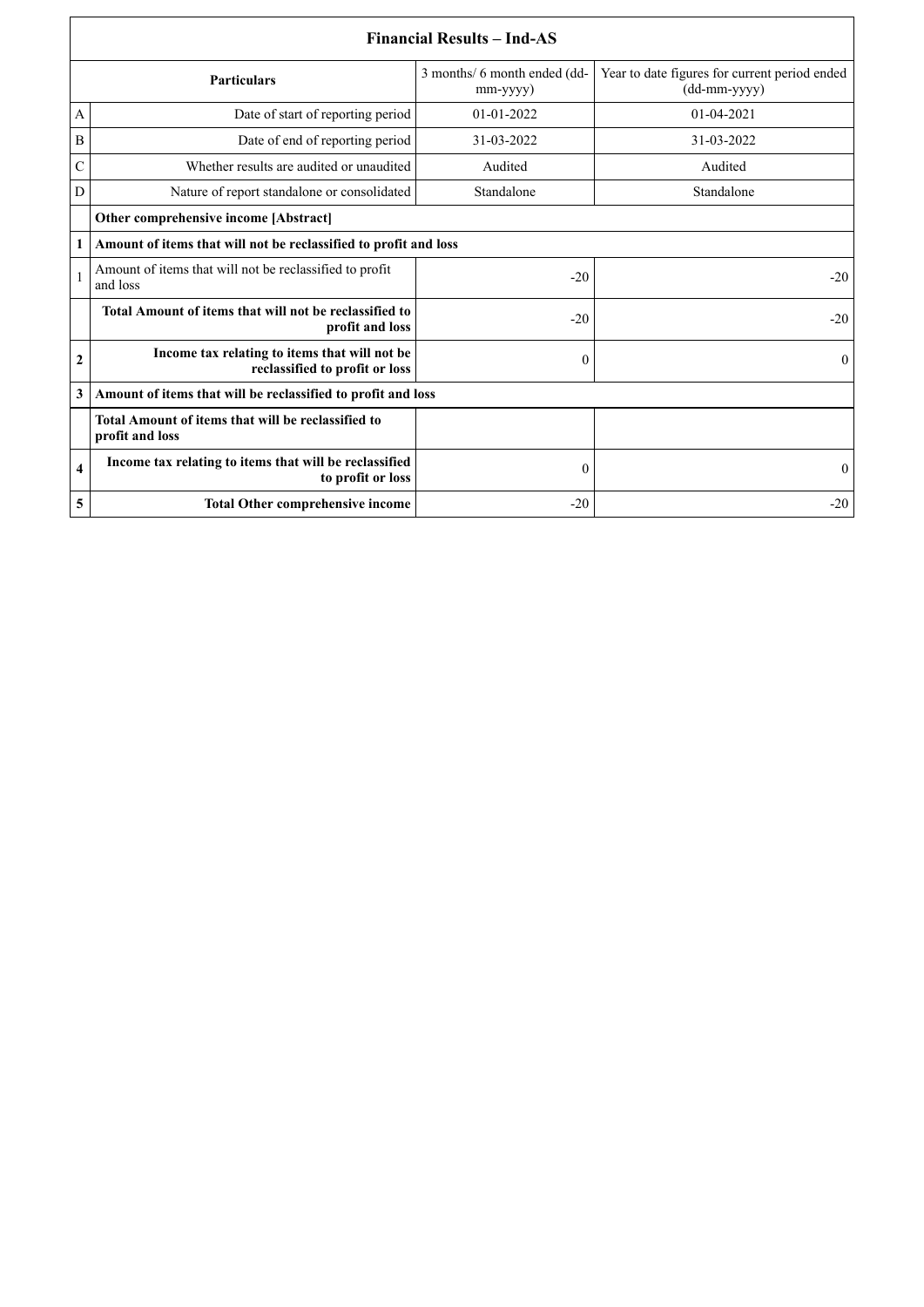|                    | <b>Financial Results – Ind-AS</b>                                               |                                                |                                                               |  |  |
|--------------------|---------------------------------------------------------------------------------|------------------------------------------------|---------------------------------------------------------------|--|--|
| <b>Particulars</b> |                                                                                 | 3 months/ 6 month ended (dd-<br>$mm$ -yyyy $)$ | Year to date figures for current period ended<br>(dd-mm-yyyy) |  |  |
| A                  | Date of start of reporting period                                               | 01-01-2022                                     | 01-04-2021                                                    |  |  |
| B                  | Date of end of reporting period                                                 | 31-03-2022                                     | 31-03-2022                                                    |  |  |
| C                  | Whether results are audited or unaudited                                        | Audited                                        | Audited                                                       |  |  |
| D                  | Nature of report standalone or consolidated                                     | Standalone                                     | Standalone                                                    |  |  |
|                    | <b>Other comprehensive income [Abstract]</b>                                    |                                                |                                                               |  |  |
| 1                  | Amount of items that will not be reclassified to profit and loss                |                                                |                                                               |  |  |
|                    | Amount of items that will not be reclassified to profit<br>and loss             | $-20$                                          | $-20$                                                         |  |  |
|                    | Total Amount of items that will not be reclassified to<br>profit and loss       | $-20$                                          | $-20$                                                         |  |  |
| 2                  | Income tax relating to items that will not be<br>reclassified to profit or loss | $\theta$                                       | $\theta$                                                      |  |  |
| 3                  | Amount of items that will be reclassified to profit and loss                    |                                                |                                                               |  |  |
|                    | Total Amount of items that will be reclassified to<br>profit and loss           |                                                |                                                               |  |  |
| 4                  | Income tax relating to items that will be reclassified<br>to profit or loss     | $\boldsymbol{0}$                               | $\mathbf{0}$                                                  |  |  |
| 5                  | <b>Total Other comprehensive income</b>                                         | $-20$                                          | $-20$                                                         |  |  |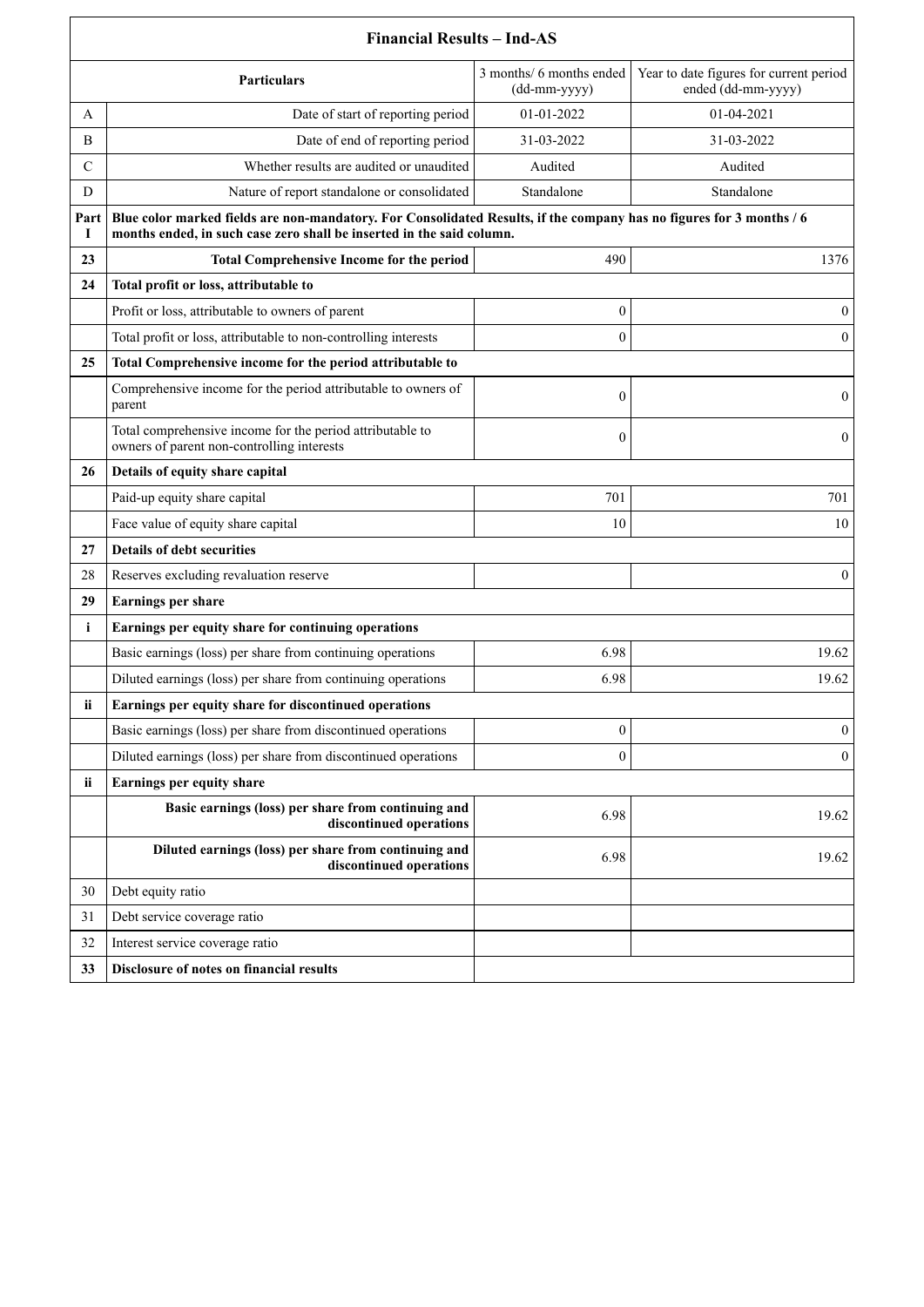|              | <b>Financial Results - Ind-AS</b>                                                                                                                                                             |                                          |                                                               |  |
|--------------|-----------------------------------------------------------------------------------------------------------------------------------------------------------------------------------------------|------------------------------------------|---------------------------------------------------------------|--|
|              | <b>Particulars</b>                                                                                                                                                                            | 3 months/ 6 months ended<br>(dd-mm-yyyy) | Year to date figures for current period<br>ended (dd-mm-yyyy) |  |
| A            | Date of start of reporting period                                                                                                                                                             | 01-01-2022                               | 01-04-2021                                                    |  |
| B            | Date of end of reporting period                                                                                                                                                               | 31-03-2022                               | 31-03-2022                                                    |  |
| $\mathsf{C}$ | Whether results are audited or unaudited                                                                                                                                                      | Audited                                  | Audited                                                       |  |
| D            | Nature of report standalone or consolidated                                                                                                                                                   | Standalone                               | Standalone                                                    |  |
| Part<br>1    | Blue color marked fields are non-mandatory. For Consolidated Results, if the company has no figures for 3 months / 6<br>months ended, in such case zero shall be inserted in the said column. |                                          |                                                               |  |
| 23           | <b>Total Comprehensive Income for the period</b>                                                                                                                                              | 490                                      | 1376                                                          |  |
| 24           | Total profit or loss, attributable to                                                                                                                                                         |                                          |                                                               |  |
|              | Profit or loss, attributable to owners of parent                                                                                                                                              | 0                                        | $\mathbf{0}$                                                  |  |
|              | Total profit or loss, attributable to non-controlling interests                                                                                                                               | $\theta$                                 | $\mathbf{0}$                                                  |  |
| 25           | Total Comprehensive income for the period attributable to                                                                                                                                     |                                          |                                                               |  |
|              | Comprehensive income for the period attributable to owners of<br>parent                                                                                                                       | $\mathbf{0}$                             | $\mathbf{0}$                                                  |  |
|              | Total comprehensive income for the period attributable to<br>owners of parent non-controlling interests                                                                                       | $\boldsymbol{0}$                         | $\overline{0}$                                                |  |
| 26           | Details of equity share capital                                                                                                                                                               |                                          |                                                               |  |
|              | Paid-up equity share capital                                                                                                                                                                  | 701                                      | 701                                                           |  |
|              | Face value of equity share capital                                                                                                                                                            | 10                                       | 10                                                            |  |
| 27           | Details of debt securities                                                                                                                                                                    |                                          |                                                               |  |
| 28           | Reserves excluding revaluation reserve                                                                                                                                                        |                                          | $\mathbf{0}$                                                  |  |
| 29           | Earnings per share                                                                                                                                                                            |                                          |                                                               |  |
| $\mathbf{i}$ | Earnings per equity share for continuing operations                                                                                                                                           |                                          |                                                               |  |
|              | Basic earnings (loss) per share from continuing operations                                                                                                                                    | 6.98                                     | 19.62                                                         |  |
|              | Diluted earnings (loss) per share from continuing operations                                                                                                                                  | 6.98                                     | 19.62                                                         |  |
| ii           | Earnings per equity share for discontinued operations                                                                                                                                         |                                          |                                                               |  |
|              | Basic earnings (loss) per share from discontinued operations                                                                                                                                  | $\boldsymbol{0}$                         | $\overline{0}$                                                |  |
|              | Diluted earnings (loss) per share from discontinued operations                                                                                                                                | $\mathbf{0}$                             | $\mathbf{0}$                                                  |  |
| ii           | Earnings per equity share                                                                                                                                                                     |                                          |                                                               |  |
|              | Basic earnings (loss) per share from continuing and<br>discontinued operations                                                                                                                | 6.98                                     | 19.62                                                         |  |
|              | Diluted earnings (loss) per share from continuing and<br>discontinued operations                                                                                                              | 6.98                                     | 19.62                                                         |  |
| 30           | Debt equity ratio                                                                                                                                                                             |                                          |                                                               |  |
| 31           | Debt service coverage ratio                                                                                                                                                                   |                                          |                                                               |  |
| 32           | Interest service coverage ratio                                                                                                                                                               |                                          |                                                               |  |
| 33           | Disclosure of notes on financial results                                                                                                                                                      |                                          |                                                               |  |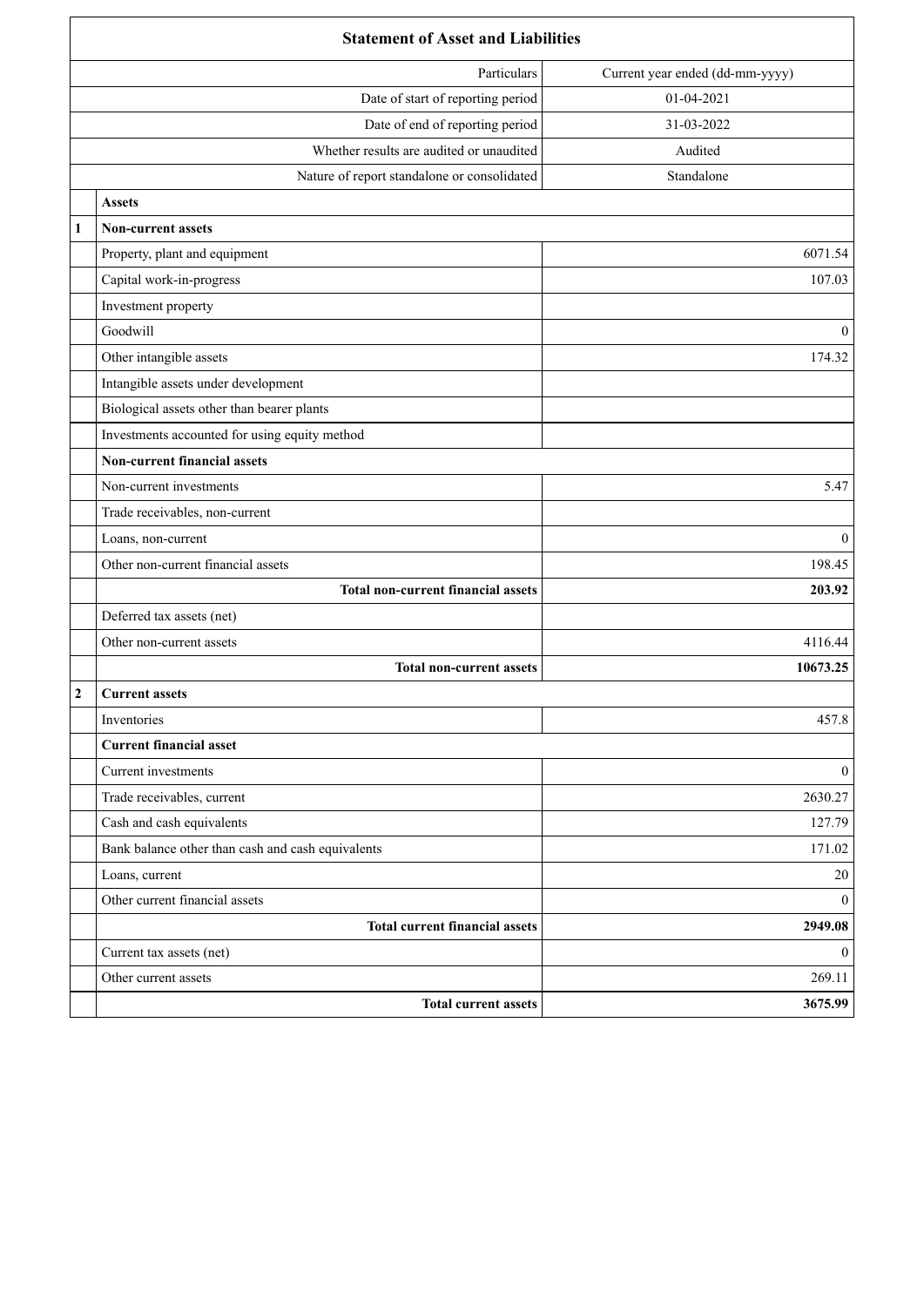| <b>Statement of Asset and Liabilities</b>         |                                 |  |
|---------------------------------------------------|---------------------------------|--|
| Particulars                                       | Current year ended (dd-mm-yyyy) |  |
| Date of start of reporting period                 | 01-04-2021                      |  |
| Date of end of reporting period                   | 31-03-2022                      |  |
| Whether results are audited or unaudited          | Audited                         |  |
| Nature of report standalone or consolidated       | Standalone                      |  |
| <b>Assets</b>                                     |                                 |  |
| <b>Non-current assets</b><br>1                    |                                 |  |
| Property, plant and equipment                     | 6071.54                         |  |
| Capital work-in-progress                          | 107.03                          |  |
| Investment property                               |                                 |  |
| Goodwill                                          | $\mathbf{0}$                    |  |
| Other intangible assets                           | 174.32                          |  |
| Intangible assets under development               |                                 |  |
| Biological assets other than bearer plants        |                                 |  |
| Investments accounted for using equity method     |                                 |  |
| <b>Non-current financial assets</b>               |                                 |  |
| Non-current investments                           | 5.47                            |  |
| Trade receivables, non-current                    |                                 |  |
| Loans, non-current                                | $\mathbf{0}$                    |  |
| Other non-current financial assets                | 198.45                          |  |
| <b>Total non-current financial assets</b>         | 203.92                          |  |
| Deferred tax assets (net)                         |                                 |  |
| Other non-current assets                          | 4116.44                         |  |
| <b>Total non-current assets</b>                   | 10673.25                        |  |
| $\boldsymbol{2}$<br><b>Current assets</b>         |                                 |  |
| Inventories                                       | 457.8                           |  |
| <b>Current financial asset</b>                    |                                 |  |
| Current investments                               | $\overline{0}$                  |  |
| Trade receivables, current                        | 2630.27                         |  |
| Cash and cash equivalents                         | 127.79                          |  |
| Bank balance other than cash and cash equivalents | 171.02                          |  |
| Loans, current                                    | $20\,$                          |  |
| Other current financial assets                    | $\overline{0}$                  |  |
| <b>Total current financial assets</b>             | 2949.08                         |  |
| Current tax assets (net)                          | $\overline{0}$                  |  |
| Other current assets                              | 269.11                          |  |
| <b>Total current assets</b>                       | 3675.99                         |  |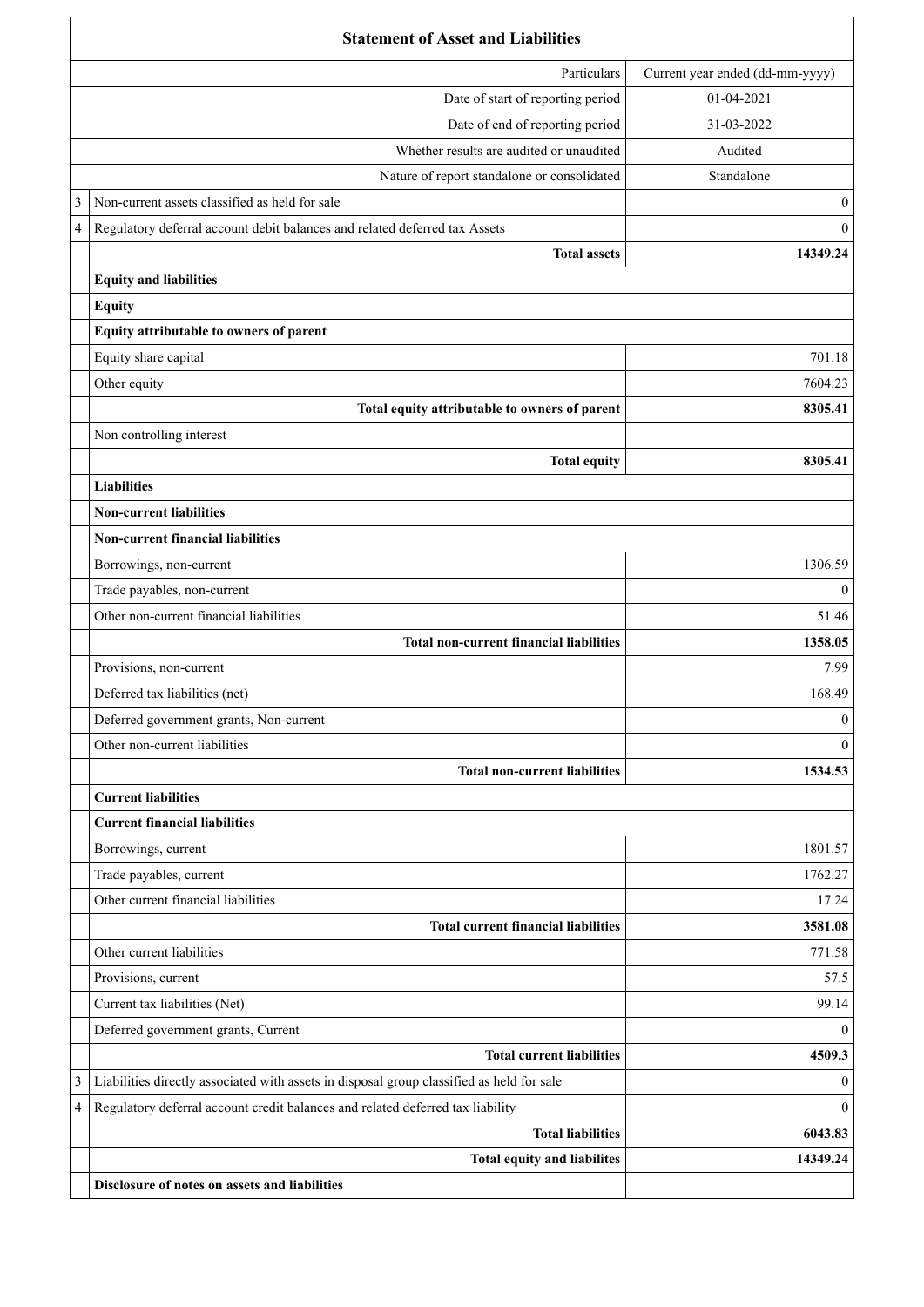|   | <b>Statement of Asset and Liabilities</b>                                                 |                                 |  |
|---|-------------------------------------------------------------------------------------------|---------------------------------|--|
|   | Particulars                                                                               | Current year ended (dd-mm-yyyy) |  |
|   | Date of start of reporting period                                                         | 01-04-2021                      |  |
|   | Date of end of reporting period                                                           | 31-03-2022                      |  |
|   | Whether results are audited or unaudited                                                  | Audited                         |  |
|   | Nature of report standalone or consolidated                                               | Standalone                      |  |
| 3 | Non-current assets classified as held for sale                                            | $\mathbf{0}$                    |  |
| 4 | Regulatory deferral account debit balances and related deferred tax Assets                | $\theta$                        |  |
|   | <b>Total assets</b>                                                                       | 14349.24                        |  |
|   | <b>Equity and liabilities</b>                                                             |                                 |  |
|   | <b>Equity</b>                                                                             |                                 |  |
|   | Equity attributable to owners of parent                                                   |                                 |  |
|   | Equity share capital                                                                      | 701.18                          |  |
|   | Other equity                                                                              | 7604.23                         |  |
|   | Total equity attributable to owners of parent                                             | 8305.41                         |  |
|   | Non controlling interest                                                                  |                                 |  |
|   | <b>Total equity</b>                                                                       | 8305.41                         |  |
|   | <b>Liabilities</b>                                                                        |                                 |  |
|   | <b>Non-current liabilities</b>                                                            |                                 |  |
|   | <b>Non-current financial liabilities</b>                                                  |                                 |  |
|   | Borrowings, non-current                                                                   | 1306.59                         |  |
|   | Trade payables, non-current                                                               | $\theta$                        |  |
|   | Other non-current financial liabilities                                                   | 51.46                           |  |
|   | <b>Total non-current financial liabilities</b>                                            | 1358.05                         |  |
|   | Provisions, non-current                                                                   | 7.99                            |  |
|   | Deferred tax liabilities (net)                                                            | 168.49                          |  |
|   | Deferred government grants, Non-current                                                   | $\boldsymbol{0}$                |  |
|   | Other non-current liabilities                                                             | $\theta$                        |  |
|   | <b>Total non-current liabilities</b>                                                      | 1534.53                         |  |
|   | <b>Current liabilities</b>                                                                |                                 |  |
|   | <b>Current financial liabilities</b>                                                      |                                 |  |
|   | Borrowings, current                                                                       | 1801.57                         |  |
|   | Trade payables, current                                                                   | 1762.27                         |  |
|   | Other current financial liabilities                                                       | 17.24                           |  |
|   | <b>Total current financial liabilities</b>                                                | 3581.08                         |  |
|   | Other current liabilities                                                                 | 771.58                          |  |
|   | Provisions, current                                                                       | 57.5                            |  |
|   | Current tax liabilities (Net)                                                             | 99.14                           |  |
|   | Deferred government grants, Current                                                       | $\theta$                        |  |
|   | <b>Total current liabilities</b>                                                          | 4509.3                          |  |
| 3 | Liabilities directly associated with assets in disposal group classified as held for sale | $\theta$                        |  |
| 4 | Regulatory deferral account credit balances and related deferred tax liability            | $\Omega$                        |  |
|   | <b>Total liabilities</b>                                                                  | 6043.83                         |  |
|   | Total equity and liabilites                                                               | 14349.24                        |  |
|   | Disclosure of notes on assets and liabilities                                             |                                 |  |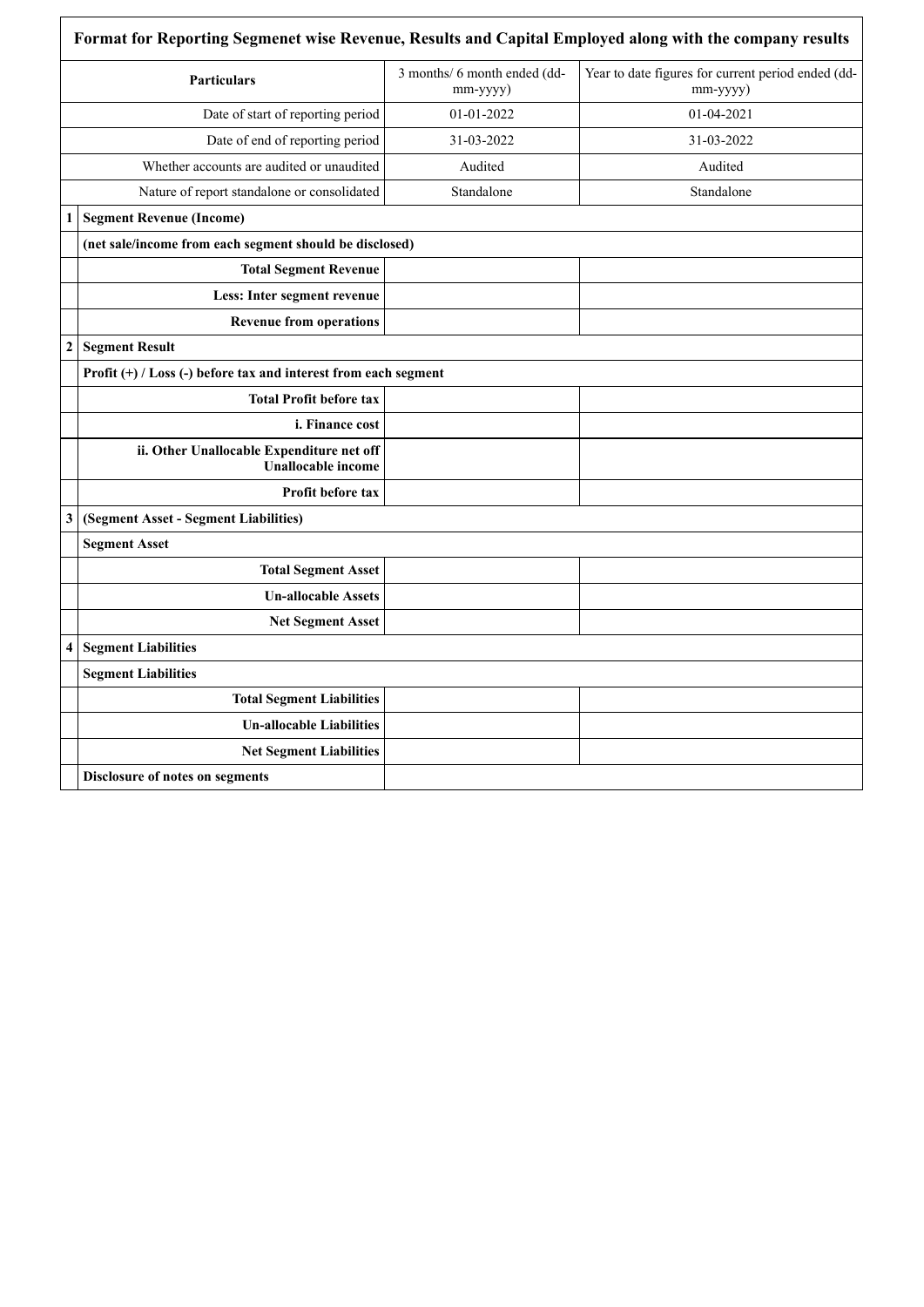|                         | Particulars                                                         | 3 months/ 6 month ended (dd-<br>mm-yyyy) | Year to date figures for current period ended (dd-<br>mm-yyyy) |
|-------------------------|---------------------------------------------------------------------|------------------------------------------|----------------------------------------------------------------|
|                         | Date of start of reporting period                                   | 01-01-2022                               | 01-04-2021                                                     |
|                         | Date of end of reporting period                                     | 31-03-2022                               | 31-03-2022                                                     |
|                         | Whether accounts are audited or unaudited                           | Audited                                  | Audited                                                        |
|                         | Nature of report standalone or consolidated                         | Standalone                               | Standalone                                                     |
| 1                       | <b>Segment Revenue (Income)</b>                                     |                                          |                                                                |
|                         | (net sale/income from each segment should be disclosed)             |                                          |                                                                |
|                         | <b>Total Segment Revenue</b>                                        |                                          |                                                                |
|                         | Less: Inter segment revenue                                         |                                          |                                                                |
|                         | <b>Revenue from operations</b>                                      |                                          |                                                                |
| $\boldsymbol{2}$        | <b>Segment Result</b>                                               |                                          |                                                                |
|                         | Profit $(+)$ / Loss $(-)$ before tax and interest from each segment |                                          |                                                                |
|                         | <b>Total Profit before tax</b>                                      |                                          |                                                                |
|                         | i. Finance cost                                                     |                                          |                                                                |
|                         | ii. Other Unallocable Expenditure net off<br>Unallocable income     |                                          |                                                                |
|                         | <b>Profit before tax</b>                                            |                                          |                                                                |
| 3                       | (Segment Asset - Segment Liabilities)                               |                                          |                                                                |
|                         | <b>Segment Asset</b>                                                |                                          |                                                                |
|                         | <b>Total Segment Asset</b>                                          |                                          |                                                                |
|                         | <b>Un-allocable Assets</b>                                          |                                          |                                                                |
|                         | <b>Net Segment Asset</b>                                            |                                          |                                                                |
| $\overline{\mathbf{4}}$ | <b>Segment Liabilities</b>                                          |                                          |                                                                |
|                         | <b>Segment Liabilities</b>                                          |                                          |                                                                |
|                         | <b>Total Segment Liabilities</b>                                    |                                          |                                                                |
|                         | <b>Un-allocable Liabilities</b>                                     |                                          |                                                                |
|                         | <b>Net Segment Liabilities</b>                                      |                                          |                                                                |
|                         | Disclosure of notes on segments                                     |                                          |                                                                |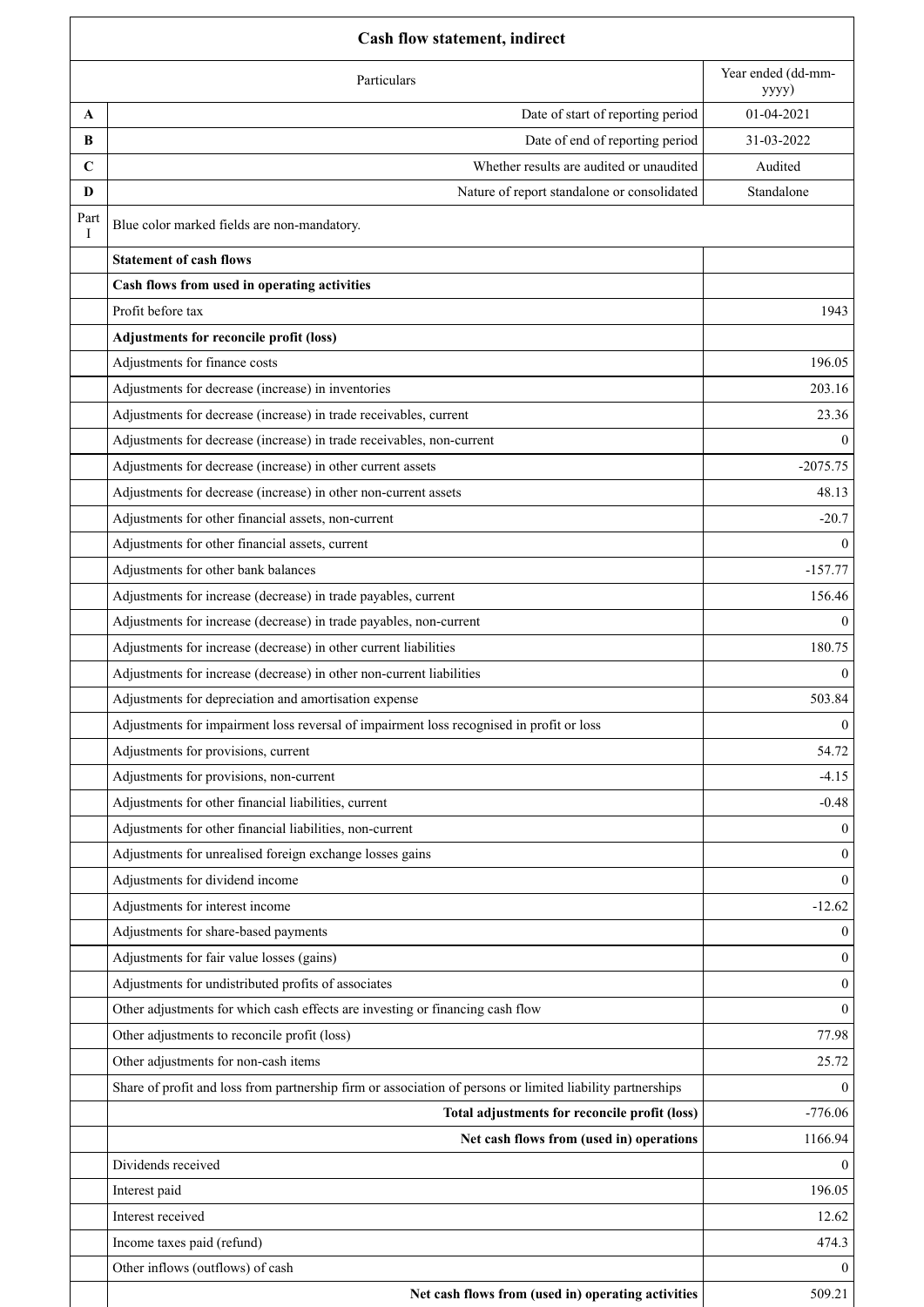|             | <b>Cash flow statement, indirect</b>                                                                       |                             |  |  |
|-------------|------------------------------------------------------------------------------------------------------------|-----------------------------|--|--|
|             | Particulars                                                                                                | Year ended (dd-mm-<br>yyyy) |  |  |
| A           | Date of start of reporting period                                                                          | 01-04-2021                  |  |  |
| B           | Date of end of reporting period                                                                            | 31-03-2022                  |  |  |
| $\mathbf C$ | Whether results are audited or unaudited                                                                   | Audited                     |  |  |
| D           | Nature of report standalone or consolidated                                                                | Standalone                  |  |  |
| Part<br>Ι   | Blue color marked fields are non-mandatory.                                                                |                             |  |  |
|             | <b>Statement of cash flows</b>                                                                             |                             |  |  |
|             | Cash flows from used in operating activities                                                               |                             |  |  |
|             | Profit before tax                                                                                          | 1943                        |  |  |
|             | Adjustments for reconcile profit (loss)                                                                    |                             |  |  |
|             | Adjustments for finance costs                                                                              | 196.05                      |  |  |
|             | Adjustments for decrease (increase) in inventories                                                         | 203.16                      |  |  |
|             | Adjustments for decrease (increase) in trade receivables, current                                          | 23.36                       |  |  |
|             | Adjustments for decrease (increase) in trade receivables, non-current                                      | $\Omega$                    |  |  |
|             | Adjustments for decrease (increase) in other current assets                                                | $-2075.75$                  |  |  |
|             | Adjustments for decrease (increase) in other non-current assets                                            | 48.13                       |  |  |
|             | Adjustments for other financial assets, non-current                                                        | $-20.7$                     |  |  |
|             | Adjustments for other financial assets, current                                                            | $\Omega$                    |  |  |
|             | Adjustments for other bank balances                                                                        | $-157.77$                   |  |  |
|             | Adjustments for increase (decrease) in trade payables, current                                             | 156.46                      |  |  |
|             | Adjustments for increase (decrease) in trade payables, non-current                                         | $\theta$                    |  |  |
|             | Adjustments for increase (decrease) in other current liabilities                                           | 180.75                      |  |  |
|             | Adjustments for increase (decrease) in other non-current liabilities                                       | $\theta$                    |  |  |
|             | Adjustments for depreciation and amortisation expense                                                      | 503.84                      |  |  |
|             | Adjustments for impairment loss reversal of impairment loss recognised in profit or loss                   | $\mathbf{0}$                |  |  |
|             | Adjustments for provisions, current                                                                        | 54.72                       |  |  |
|             | Adjustments for provisions, non-current                                                                    | $-4.15$                     |  |  |
|             | Adjustments for other financial liabilities, current                                                       | $-0.48$                     |  |  |
|             | Adjustments for other financial liabilities, non-current                                                   | $\theta$                    |  |  |
|             | Adjustments for unrealised foreign exchange losses gains                                                   | $\theta$                    |  |  |
|             | Adjustments for dividend income                                                                            | $\Omega$                    |  |  |
|             | Adjustments for interest income                                                                            | $-12.62$                    |  |  |
|             | Adjustments for share-based payments                                                                       | $\overline{0}$              |  |  |
|             | Adjustments for fair value losses (gains)                                                                  | $\mathbf{0}$                |  |  |
|             | Adjustments for undistributed profits of associates                                                        | $\mathbf{0}$                |  |  |
|             | Other adjustments for which cash effects are investing or financing cash flow                              | $\Omega$                    |  |  |
|             | Other adjustments to reconcile profit (loss)                                                               | 77.98                       |  |  |
|             | Other adjustments for non-cash items                                                                       | 25.72                       |  |  |
|             | Share of profit and loss from partnership firm or association of persons or limited liability partnerships | $\theta$                    |  |  |
|             | Total adjustments for reconcile profit (loss)                                                              | $-776.06$                   |  |  |
|             | Net cash flows from (used in) operations                                                                   | 1166.94                     |  |  |
|             | Dividends received                                                                                         | $\theta$                    |  |  |
|             | Interest paid                                                                                              | 196.05                      |  |  |
|             | Interest received                                                                                          | 12.62                       |  |  |
|             | Income taxes paid (refund)                                                                                 | 474.3                       |  |  |
|             | Other inflows (outflows) of cash                                                                           | $\theta$                    |  |  |
|             | Net cash flows from (used in) operating activities                                                         | 509.21                      |  |  |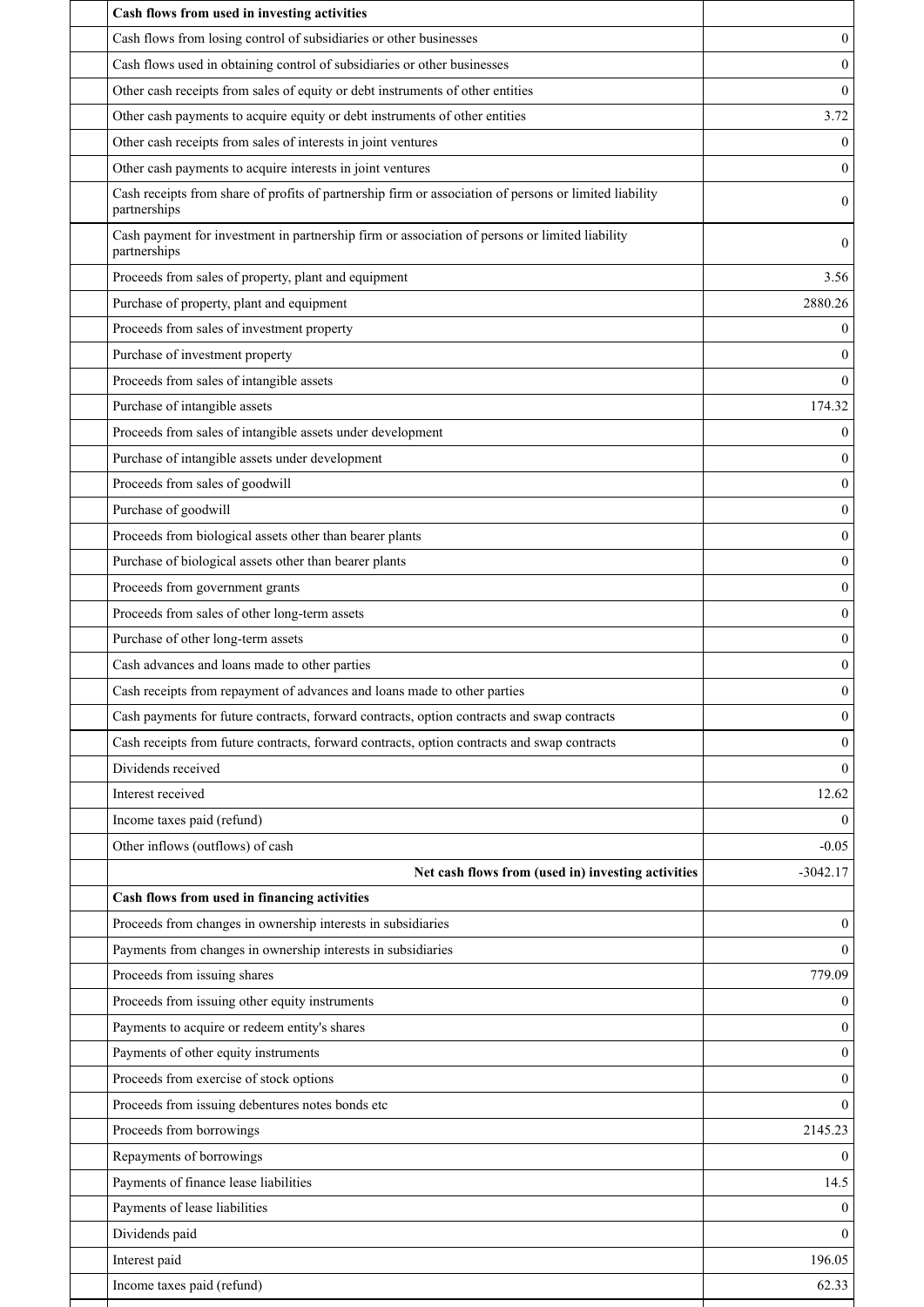| Cash flows from used in investing activities                                                                           |                  |
|------------------------------------------------------------------------------------------------------------------------|------------------|
| Cash flows from losing control of subsidiaries or other businesses                                                     | $\mathbf{0}$     |
| Cash flows used in obtaining control of subsidiaries or other businesses                                               | $\Omega$         |
| Other cash receipts from sales of equity or debt instruments of other entities                                         | $\theta$         |
| Other cash payments to acquire equity or debt instruments of other entities                                            | 3.72             |
| Other cash receipts from sales of interests in joint ventures                                                          | $\theta$         |
| Other cash payments to acquire interests in joint ventures                                                             | $\boldsymbol{0}$ |
| Cash receipts from share of profits of partnership firm or association of persons or limited liability<br>partnerships | $\mathbf{0}$     |
| Cash payment for investment in partnership firm or association of persons or limited liability<br>partnerships         | 0                |
| Proceeds from sales of property, plant and equipment                                                                   | 3.56             |
| Purchase of property, plant and equipment                                                                              | 2880.26          |
| Proceeds from sales of investment property                                                                             | 0                |
| Purchase of investment property                                                                                        | $\mathbf{0}$     |
| Proceeds from sales of intangible assets                                                                               | $\Omega$         |
| Purchase of intangible assets                                                                                          | 174.32           |
| Proceeds from sales of intangible assets under development                                                             | $\mathbf{0}$     |
| Purchase of intangible assets under development                                                                        | $\theta$         |
| Proceeds from sales of goodwill                                                                                        | $\boldsymbol{0}$ |
| Purchase of goodwill                                                                                                   | $\mathbf{0}$     |
| Proceeds from biological assets other than bearer plants                                                               | $\boldsymbol{0}$ |
| Purchase of biological assets other than bearer plants                                                                 | $\mathbf{0}$     |
| Proceeds from government grants                                                                                        | $\mathbf{0}$     |
| Proceeds from sales of other long-term assets                                                                          | $\mathbf{0}$     |
| Purchase of other long-term assets                                                                                     | $\mathbf{0}$     |
| Cash advances and loans made to other parties                                                                          | $\boldsymbol{0}$ |
| Cash receipts from repayment of advances and loans made to other parties                                               | $\overline{0}$   |
| Cash payments for future contracts, forward contracts, option contracts and swap contracts                             | 0                |
| Cash receipts from future contracts, forward contracts, option contracts and swap contracts                            | $\theta$         |
| Dividends received                                                                                                     | $\Omega$         |
| Interest received                                                                                                      | 12.62            |
| Income taxes paid (refund)                                                                                             | $\theta$         |
| Other inflows (outflows) of cash                                                                                       | $-0.05$          |
| Net cash flows from (used in) investing activities                                                                     | $-3042.17$       |
| Cash flows from used in financing activities                                                                           |                  |
| Proceeds from changes in ownership interests in subsidiaries                                                           | $\mathbf{0}$     |
| Payments from changes in ownership interests in subsidiaries                                                           | $\theta$         |
| Proceeds from issuing shares                                                                                           | 779.09           |
| Proceeds from issuing other equity instruments                                                                         | $\mathbf{0}$     |
| Payments to acquire or redeem entity's shares                                                                          | $\Omega$         |
| Payments of other equity instruments                                                                                   | $\mathbf{0}$     |
| Proceeds from exercise of stock options                                                                                | $\Omega$         |
| Proceeds from issuing debentures notes bonds etc                                                                       | $\theta$         |
| Proceeds from borrowings                                                                                               | 2145.23          |
| Repayments of borrowings                                                                                               | $\Omega$         |
| Payments of finance lease liabilities                                                                                  | 14.5             |
| Payments of lease liabilities                                                                                          | $\theta$         |
| Dividends paid                                                                                                         | $\theta$         |
| Interest paid                                                                                                          | 196.05           |
| Income taxes paid (refund)                                                                                             | 62.33            |
|                                                                                                                        |                  |